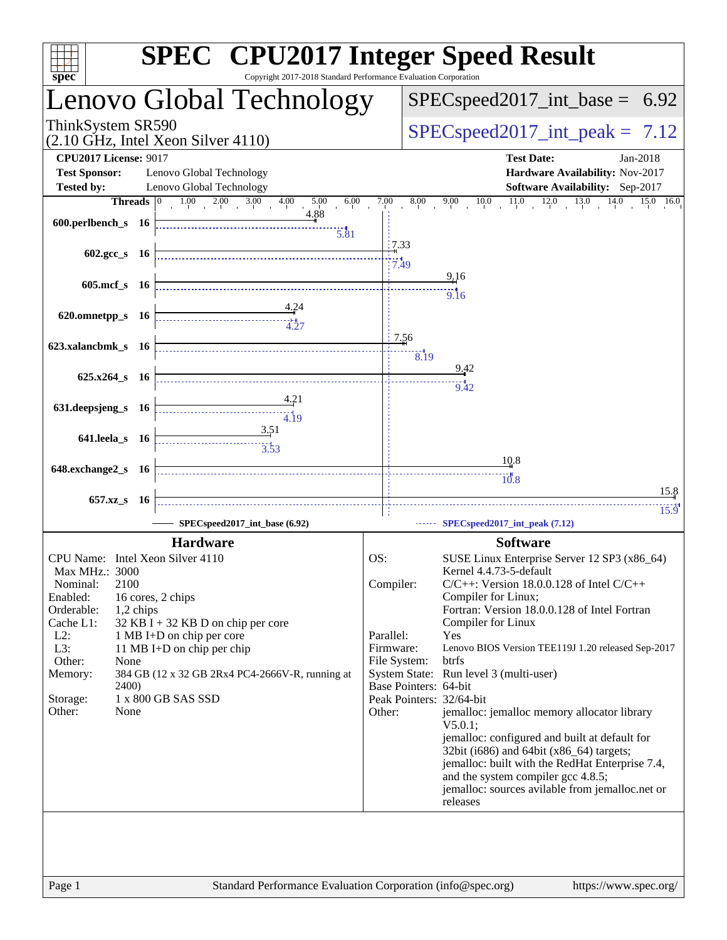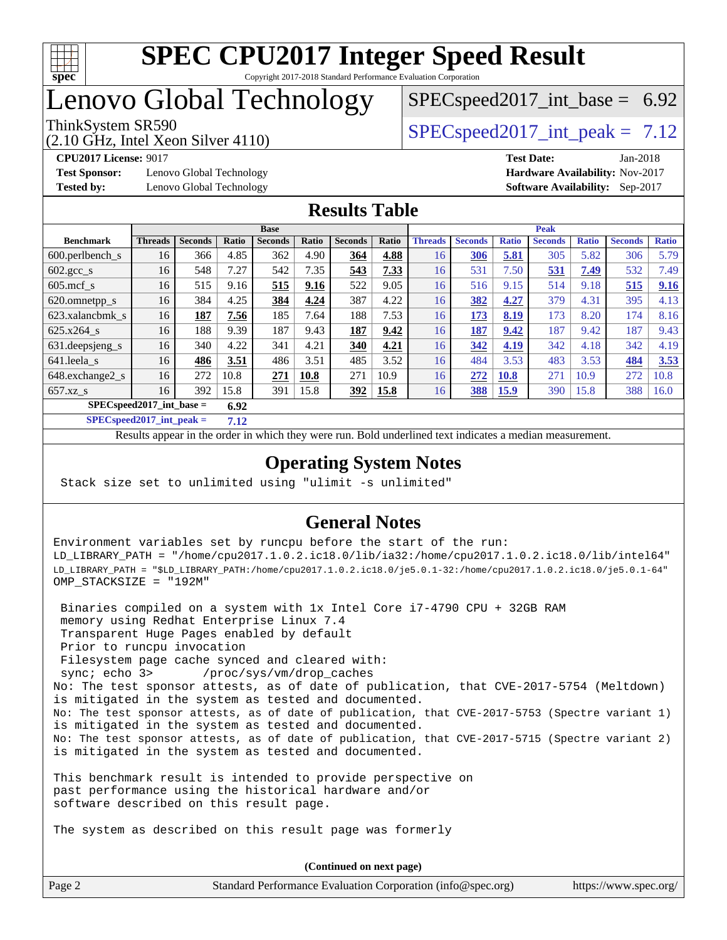

# Lenovo Global Technology

# $SPECspeed2017\_int\_base = 6.92$

(2.10 GHz, Intel Xeon Silver 4110)

ThinkSystem SR590  $SPEC speed2017$  int peak = 7.12

**[Test Sponsor:](http://www.spec.org/auto/cpu2017/Docs/result-fields.html#TestSponsor)** Lenovo Global Technology **[Hardware Availability:](http://www.spec.org/auto/cpu2017/Docs/result-fields.html#HardwareAvailability)** Nov-2017

**[CPU2017 License:](http://www.spec.org/auto/cpu2017/Docs/result-fields.html#CPU2017License)** 9017 **[Test Date:](http://www.spec.org/auto/cpu2017/Docs/result-fields.html#TestDate)** Jan-2018 **[Tested by:](http://www.spec.org/auto/cpu2017/Docs/result-fields.html#Testedby)** Lenovo Global Technology **[Software Availability:](http://www.spec.org/auto/cpu2017/Docs/result-fields.html#SoftwareAvailability)** Sep-2017

## **[Results Table](http://www.spec.org/auto/cpu2017/Docs/result-fields.html#ResultsTable)**

|                                     | <b>Base</b>    |                |       |                |       | <b>Peak</b>    |       |                |                |              |                |              |                |              |
|-------------------------------------|----------------|----------------|-------|----------------|-------|----------------|-------|----------------|----------------|--------------|----------------|--------------|----------------|--------------|
| <b>Benchmark</b>                    | <b>Threads</b> | <b>Seconds</b> | Ratio | <b>Seconds</b> | Ratio | <b>Seconds</b> | Ratio | <b>Threads</b> | <b>Seconds</b> | <b>Ratio</b> | <b>Seconds</b> | <b>Ratio</b> | <b>Seconds</b> | <b>Ratio</b> |
| $600.$ perlbench $\mathsf{S}$       | 16             | 366            | 4.85  | 362            | 4.90  | 364            | 4.88  | 16             | 306            | 5.81         | 305            | 5.82         | 306            | 5.79         |
| $602.\text{gcc}\_\text{s}$          | 16             | 548            | 7.27  | 542            | 7.35  | 543            | 7.33  | 16             | 531            | 7.50         | 531            | 7.49         | 532            | 7.49         |
| $605$ .mcf s                        | 16             | 515            | 9.16  | 515            | 9.16  | 522            | 9.05  | 16             | 516            | 9.15         | 514            | 9.18         | 515            | 9.16         |
| 620.omnetpp_s                       | 16             | 384            | 4.25  | 384            | 4.24  | 387            | 4.22  | 16             | 382            | 4.27         | 379            | 4.31         | 395            | 4.13         |
| 623.xalancbmk s                     | 16             | 187            | 7.56  | 185            | 7.64  | 188            | 7.53  | 16             | 173            | 8.19         | 173            | 8.20         | 174            | 8.16         |
| 625.x264 s                          | 16             | 188            | 9.39  | 187            | 9.43  | 187            | 9.42  | 16             | 187            | 9.42         | 187            | 9.42         | 187            | 9.43         |
| 631.deepsjeng_s                     | 16             | 340            | 4.22  | 341            | 4.21  | 340            | 4.21  | 16             | 342            | 4.19         | 342            | 4.18         | 342            | 4.19         |
| 641.leela s                         | 16             | 486            | 3.51  | 486            | 3.51  | 485            | 3.52  | 16             | 484            | 3.53         | 483            | 3.53         | 484            | 3.53         |
| 648.exchange2_s                     | 16             | 272            | 10.8  | 271            | 10.8  | 271            | 10.9  | 16             | 272            | <b>10.8</b>  | 271            | 10.9         | 272            | 10.8         |
| $657.xz$ s                          | 16             | 392            | 15.8  | 391            | 15.8  | <u>392</u>     | 15.8  | 16             | 388            | <u>15.9</u>  | 390            | 15.8         | 388            | 16.0         |
| $SPEC speed2017$ int base =<br>6.92 |                |                |       |                |       |                |       |                |                |              |                |              |                |              |

**[SPECspeed2017\\_int\\_peak =](http://www.spec.org/auto/cpu2017/Docs/result-fields.html#SPECspeed2017intpeak) 7.12**

Results appear in the [order in which they were run.](http://www.spec.org/auto/cpu2017/Docs/result-fields.html#RunOrder) Bold underlined text [indicates a median measurement](http://www.spec.org/auto/cpu2017/Docs/result-fields.html#Median).

## **[Operating System Notes](http://www.spec.org/auto/cpu2017/Docs/result-fields.html#OperatingSystemNotes)**

Stack size set to unlimited using "ulimit -s unlimited"

## **[General Notes](http://www.spec.org/auto/cpu2017/Docs/result-fields.html#GeneralNotes)**

Environment variables set by runcpu before the start of the run: LD\_LIBRARY\_PATH = "/home/cpu2017.1.0.2.ic18.0/lib/ia32:/home/cpu2017.1.0.2.ic18.0/lib/intel64" LD\_LIBRARY\_PATH = "\$LD\_LIBRARY\_PATH:/home/cpu2017.1.0.2.ic18.0/je5.0.1-32:/home/cpu2017.1.0.2.ic18.0/je5.0.1-64" OMP\_STACKSIZE = "192M"

 Binaries compiled on a system with 1x Intel Core i7-4790 CPU + 32GB RAM memory using Redhat Enterprise Linux 7.4 Transparent Huge Pages enabled by default Prior to runcpu invocation Filesystem page cache synced and cleared with: sync; echo 3> /proc/sys/vm/drop\_caches No: The test sponsor attests, as of date of publication, that CVE-2017-5754 (Meltdown) is mitigated in the system as tested and documented. No: The test sponsor attests, as of date of publication, that CVE-2017-5753 (Spectre variant 1) is mitigated in the system as tested and documented. No: The test sponsor attests, as of date of publication, that CVE-2017-5715 (Spectre variant 2) is mitigated in the system as tested and documented.

This benchmark result is intended to provide perspective on past performance using the historical hardware and/or software described on this result page.

The system as described on this result page was formerly

Page 2 Standard Performance Evaluation Corporation [\(info@spec.org\)](mailto:info@spec.org) <https://www.spec.org/> **(Continued on next page)**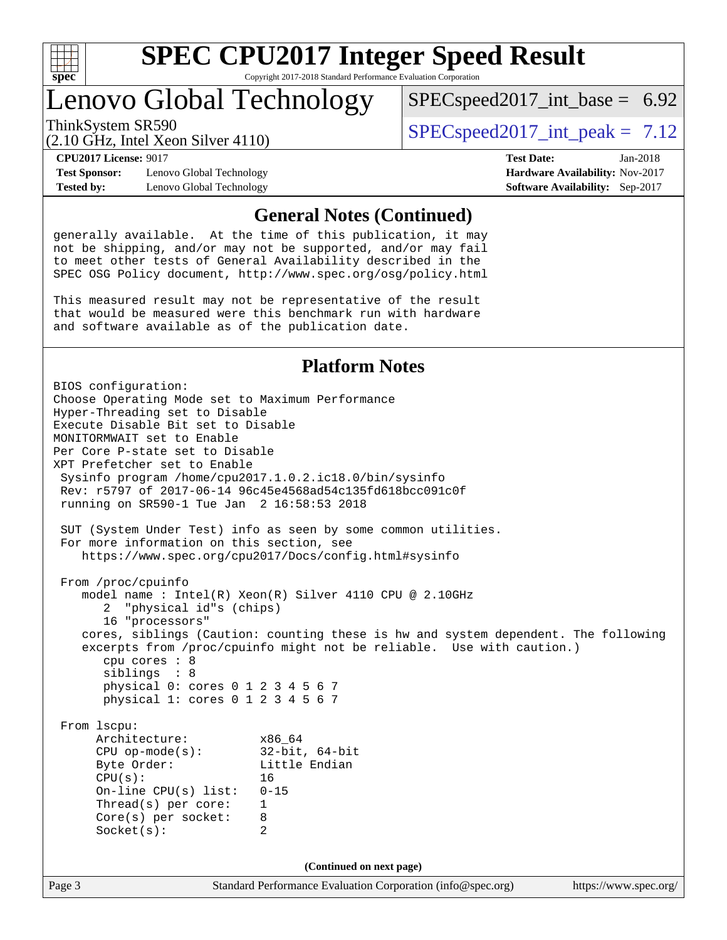

# Lenovo Global Technology

 $SPECspeed2017\_int\_base = 6.92$ 

(2.10 GHz, Intel Xeon Silver 4110)

ThinkSystem SR590  $SPEC speed2017$  int peak = 7.12

**[Test Sponsor:](http://www.spec.org/auto/cpu2017/Docs/result-fields.html#TestSponsor)** Lenovo Global Technology **[Hardware Availability:](http://www.spec.org/auto/cpu2017/Docs/result-fields.html#HardwareAvailability)** Nov-2017 **[Tested by:](http://www.spec.org/auto/cpu2017/Docs/result-fields.html#Testedby)** Lenovo Global Technology **[Software Availability:](http://www.spec.org/auto/cpu2017/Docs/result-fields.html#SoftwareAvailability)** Sep-2017

**[CPU2017 License:](http://www.spec.org/auto/cpu2017/Docs/result-fields.html#CPU2017License)** 9017 **[Test Date:](http://www.spec.org/auto/cpu2017/Docs/result-fields.html#TestDate)** Jan-2018

### **[General Notes \(Continued\)](http://www.spec.org/auto/cpu2017/Docs/result-fields.html#GeneralNotes)**

generally available. At the time of this publication, it may not be shipping, and/or may not be supported, and/or may fail to meet other tests of General Availability described in the SPEC OSG Policy document, <http://www.spec.org/osg/policy.html>

This measured result may not be representative of the result that would be measured were this benchmark run with hardware and software available as of the publication date.

### **[Platform Notes](http://www.spec.org/auto/cpu2017/Docs/result-fields.html#PlatformNotes)**

Page 3 Standard Performance Evaluation Corporation [\(info@spec.org\)](mailto:info@spec.org) <https://www.spec.org/> BIOS configuration: Choose Operating Mode set to Maximum Performance Hyper-Threading set to Disable Execute Disable Bit set to Disable MONITORMWAIT set to Enable Per Core P-state set to Disable XPT Prefetcher set to Enable Sysinfo program /home/cpu2017.1.0.2.ic18.0/bin/sysinfo Rev: r5797 of 2017-06-14 96c45e4568ad54c135fd618bcc091c0f running on SR590-1 Tue Jan 2 16:58:53 2018 SUT (System Under Test) info as seen by some common utilities. For more information on this section, see <https://www.spec.org/cpu2017/Docs/config.html#sysinfo> From /proc/cpuinfo model name : Intel(R) Xeon(R) Silver 4110 CPU @ 2.10GHz 2 "physical id"s (chips) 16 "processors" cores, siblings (Caution: counting these is hw and system dependent. The following excerpts from /proc/cpuinfo might not be reliable. Use with caution.) cpu cores : 8 siblings : 8 physical 0: cores 0 1 2 3 4 5 6 7 physical 1: cores 0 1 2 3 4 5 6 7 From lscpu: Architecture: x86\_64 CPU op-mode(s): 32-bit, 64-bit Byte Order: Little Endian  $CPU(s):$  16 On-line CPU(s) list: 0-15 Thread(s) per core: 1 Core(s) per socket: 8 Socket(s): 2 **(Continued on next page)**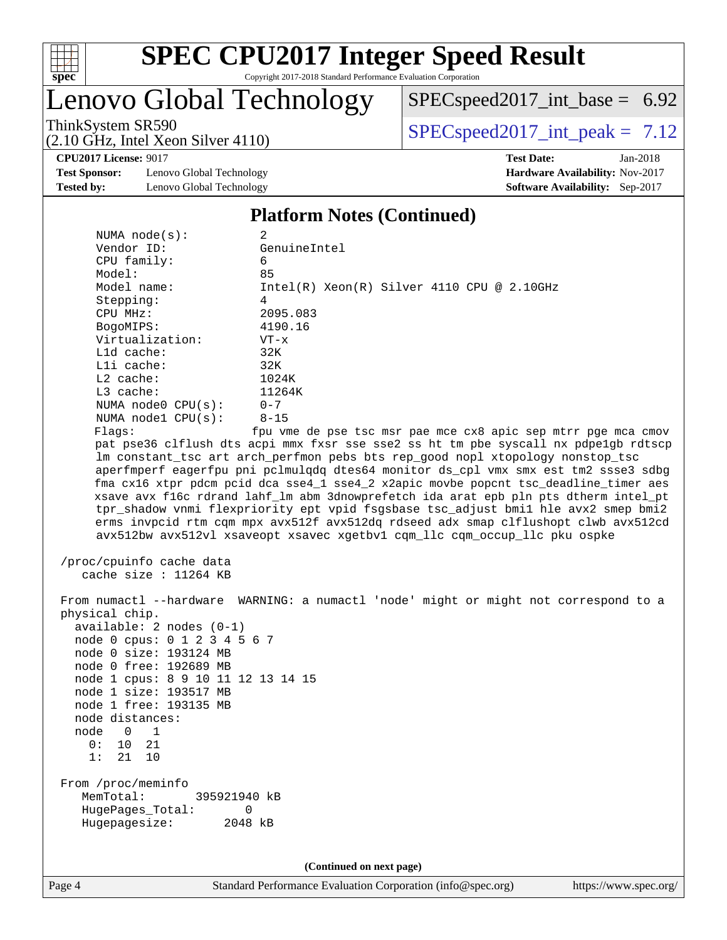

# Lenovo Global Technology

[SPECspeed2017\\_int\\_base =](http://www.spec.org/auto/cpu2017/Docs/result-fields.html#SPECspeed2017intbase) 6.92

(2.10 GHz, Intel Xeon Silver 4110)

ThinkSystem SR590<br>  $(2.10 \text{ GHz. Intel Yoon Silver } 4110)$  [SPECspeed2017\\_int\\_peak =](http://www.spec.org/auto/cpu2017/Docs/result-fields.html#SPECspeed2017intpeak) 7.12

**[CPU2017 License:](http://www.spec.org/auto/cpu2017/Docs/result-fields.html#CPU2017License)** 9017 **[Test Date:](http://www.spec.org/auto/cpu2017/Docs/result-fields.html#TestDate)** Jan-2018

**[Test Sponsor:](http://www.spec.org/auto/cpu2017/Docs/result-fields.html#TestSponsor)** Lenovo Global Technology **[Hardware Availability:](http://www.spec.org/auto/cpu2017/Docs/result-fields.html#HardwareAvailability)** Nov-2017 **[Tested by:](http://www.spec.org/auto/cpu2017/Docs/result-fields.html#Testedby)** Lenovo Global Technology **[Software Availability:](http://www.spec.org/auto/cpu2017/Docs/result-fields.html#SoftwareAvailability)** Sep-2017

#### **[Platform Notes \(Continued\)](http://www.spec.org/auto/cpu2017/Docs/result-fields.html#PlatformNotes)**

| NUMA $node(s)$ :                                                                                                                                                                                                                                                                     | 2                                                                                                                                                                                                                                                                                                                                                                                                                                                                                                                                                                                                                                                                                                  |  |  |  |  |  |
|--------------------------------------------------------------------------------------------------------------------------------------------------------------------------------------------------------------------------------------------------------------------------------------|----------------------------------------------------------------------------------------------------------------------------------------------------------------------------------------------------------------------------------------------------------------------------------------------------------------------------------------------------------------------------------------------------------------------------------------------------------------------------------------------------------------------------------------------------------------------------------------------------------------------------------------------------------------------------------------------------|--|--|--|--|--|
| Vendor ID:                                                                                                                                                                                                                                                                           | GenuineIntel                                                                                                                                                                                                                                                                                                                                                                                                                                                                                                                                                                                                                                                                                       |  |  |  |  |  |
| CPU family:                                                                                                                                                                                                                                                                          | 6                                                                                                                                                                                                                                                                                                                                                                                                                                                                                                                                                                                                                                                                                                  |  |  |  |  |  |
| Model:                                                                                                                                                                                                                                                                               | 85                                                                                                                                                                                                                                                                                                                                                                                                                                                                                                                                                                                                                                                                                                 |  |  |  |  |  |
| Model name:                                                                                                                                                                                                                                                                          | $Intel(R) Xeon(R) Silver 4110 CPU @ 2.10GHz$                                                                                                                                                                                                                                                                                                                                                                                                                                                                                                                                                                                                                                                       |  |  |  |  |  |
| Stepping:                                                                                                                                                                                                                                                                            | 4                                                                                                                                                                                                                                                                                                                                                                                                                                                                                                                                                                                                                                                                                                  |  |  |  |  |  |
| CPU MHz:                                                                                                                                                                                                                                                                             | 2095.083                                                                                                                                                                                                                                                                                                                                                                                                                                                                                                                                                                                                                                                                                           |  |  |  |  |  |
| BogoMIPS:                                                                                                                                                                                                                                                                            | 4190.16                                                                                                                                                                                                                                                                                                                                                                                                                                                                                                                                                                                                                                                                                            |  |  |  |  |  |
| Virtualization:                                                                                                                                                                                                                                                                      | $VT - x$                                                                                                                                                                                                                                                                                                                                                                                                                                                                                                                                                                                                                                                                                           |  |  |  |  |  |
| L1d cache:                                                                                                                                                                                                                                                                           | 32K                                                                                                                                                                                                                                                                                                                                                                                                                                                                                                                                                                                                                                                                                                |  |  |  |  |  |
| Lli cache:                                                                                                                                                                                                                                                                           | 32K                                                                                                                                                                                                                                                                                                                                                                                                                                                                                                                                                                                                                                                                                                |  |  |  |  |  |
| L2 cache:                                                                                                                                                                                                                                                                            | 1024K                                                                                                                                                                                                                                                                                                                                                                                                                                                                                                                                                                                                                                                                                              |  |  |  |  |  |
| $L3$ cache:                                                                                                                                                                                                                                                                          | 11264K                                                                                                                                                                                                                                                                                                                                                                                                                                                                                                                                                                                                                                                                                             |  |  |  |  |  |
| NUMA $node0$ $CPU(s):$                                                                                                                                                                                                                                                               | $0 - 7$                                                                                                                                                                                                                                                                                                                                                                                                                                                                                                                                                                                                                                                                                            |  |  |  |  |  |
| NUMA nodel $CPU(s):$                                                                                                                                                                                                                                                                 | $8 - 15$                                                                                                                                                                                                                                                                                                                                                                                                                                                                                                                                                                                                                                                                                           |  |  |  |  |  |
| Flags:                                                                                                                                                                                                                                                                               | fpu vme de pse tsc msr pae mce cx8 apic sep mtrr pge mca cmov                                                                                                                                                                                                                                                                                                                                                                                                                                                                                                                                                                                                                                      |  |  |  |  |  |
|                                                                                                                                                                                                                                                                                      | pat pse36 clflush dts acpi mmx fxsr sse sse2 ss ht tm pbe syscall nx pdpe1gb rdtscp<br>lm constant_tsc art arch_perfmon pebs bts rep_good nopl xtopology nonstop_tsc<br>aperfmperf eagerfpu pni pclmulqdq dtes64 monitor ds_cpl vmx smx est tm2 ssse3 sdbg<br>fma cx16 xtpr pdcm pcid dca sse4_1 sse4_2 x2apic movbe popcnt tsc_deadline_timer aes<br>xsave avx f16c rdrand lahf_lm abm 3dnowprefetch ida arat epb pln pts dtherm intel_pt<br>tpr_shadow vnmi flexpriority ept vpid fsgsbase tsc_adjust bmil hle avx2 smep bmi2<br>erms invpcid rtm cqm mpx avx512f avx512dq rdseed adx smap clflushopt clwb avx512cd<br>avx512bw avx512vl xsaveopt xsavec xgetbvl cqm_llc cqm_occup_llc pku ospke |  |  |  |  |  |
| /proc/cpuinfo cache data<br>cache size : 11264 KB                                                                                                                                                                                                                                    |                                                                                                                                                                                                                                                                                                                                                                                                                                                                                                                                                                                                                                                                                                    |  |  |  |  |  |
| physical chip.<br>$available: 2 nodes (0-1)$<br>node 0 cpus: 0 1 2 3 4 5 6 7<br>node 0 size: 193124 MB<br>node 0 free: 192689 MB<br>node 1 cpus: 8 9 10 11 12 13 14 15<br>node 1 size: 193517 MB<br>node 1 free: 193135 MB<br>node distances:<br>node 0 1<br>10 21<br>0:<br>1: 21 10 | From numactl --hardware WARNING: a numactl 'node' might or might not correspond to a                                                                                                                                                                                                                                                                                                                                                                                                                                                                                                                                                                                                               |  |  |  |  |  |
| From /proc/meminfo<br>MemTotal:<br>395921940 kB<br>HugePages_Total:<br>Hugepagesize:                                                                                                                                                                                                 | 0<br>2048 kB                                                                                                                                                                                                                                                                                                                                                                                                                                                                                                                                                                                                                                                                                       |  |  |  |  |  |
| (Continued on next page)                                                                                                                                                                                                                                                             |                                                                                                                                                                                                                                                                                                                                                                                                                                                                                                                                                                                                                                                                                                    |  |  |  |  |  |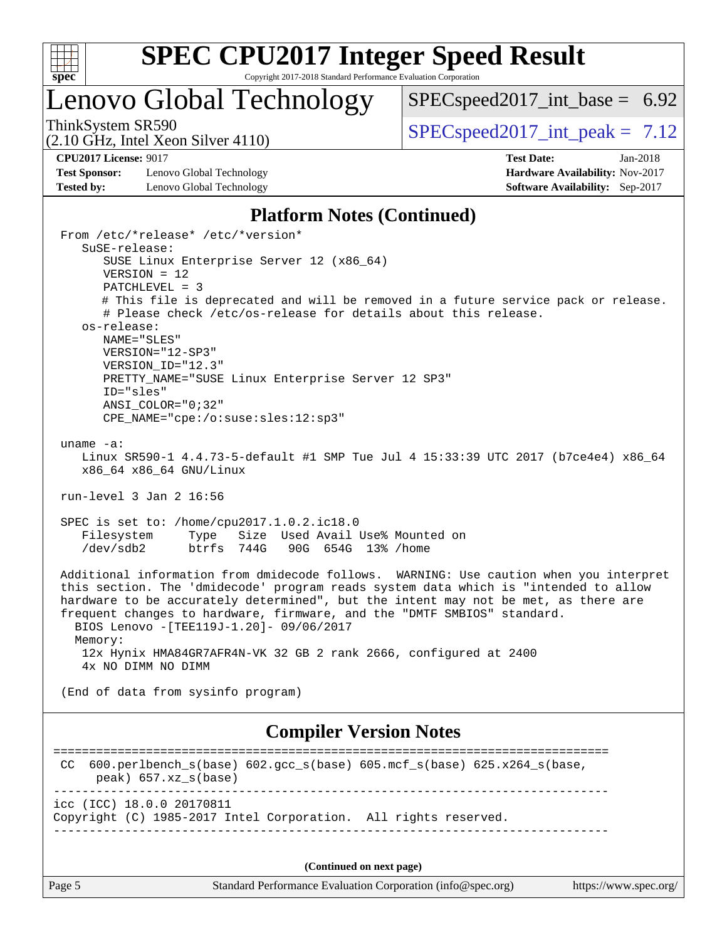

## Lenovo Global Technology

 $SPECspeed2017\_int\_base = 6.92$ 

(2.10 GHz, Intel Xeon Silver 4110)

ThinkSystem SR590  $SPEC speed2017$  int peak = 7.12

**[Test Sponsor:](http://www.spec.org/auto/cpu2017/Docs/result-fields.html#TestSponsor)** Lenovo Global Technology **[Hardware Availability:](http://www.spec.org/auto/cpu2017/Docs/result-fields.html#HardwareAvailability)** Nov-2017 **[Tested by:](http://www.spec.org/auto/cpu2017/Docs/result-fields.html#Testedby)** Lenovo Global Technology **[Software Availability:](http://www.spec.org/auto/cpu2017/Docs/result-fields.html#SoftwareAvailability)** Sep-2017

From /etc/\*release\* /etc/\*version\*

**[CPU2017 License:](http://www.spec.org/auto/cpu2017/Docs/result-fields.html#CPU2017License)** 9017 **[Test Date:](http://www.spec.org/auto/cpu2017/Docs/result-fields.html#TestDate)** Jan-2018

### **[Platform Notes \(Continued\)](http://www.spec.org/auto/cpu2017/Docs/result-fields.html#PlatformNotes)**

Page 5 Standard Performance Evaluation Corporation [\(info@spec.org\)](mailto:info@spec.org) <https://www.spec.org/> SuSE-release: SUSE Linux Enterprise Server 12 (x86\_64) VERSION = 12 PATCHLEVEL = 3 # This file is deprecated and will be removed in a future service pack or release. # Please check /etc/os-release for details about this release. os-release: NAME="SLES" VERSION="12-SP3" VERSION\_ID="12.3" PRETTY NAME="SUSE Linux Enterprise Server 12 SP3" ID="sles" ANSI\_COLOR="0;32" CPE\_NAME="cpe:/o:suse:sles:12:sp3" uname -a: Linux SR590-1 4.4.73-5-default #1 SMP Tue Jul 4 15:33:39 UTC 2017 (b7ce4e4) x86\_64 x86\_64 x86\_64 GNU/Linux run-level 3 Jan 2 16:56 SPEC is set to: /home/cpu2017.1.0.2.ic18.0 Filesystem Type Size Used Avail Use% Mounted on /dev/sdb2 btrfs 744G 90G 654G 13% /home Additional information from dmidecode follows. WARNING: Use caution when you interpret this section. The 'dmidecode' program reads system data which is "intended to allow hardware to be accurately determined", but the intent may not be met, as there are frequent changes to hardware, firmware, and the "DMTF SMBIOS" standard. BIOS Lenovo -[TEE119J-1.20]- 09/06/2017 Memory: 12x Hynix HMA84GR7AFR4N-VK 32 GB 2 rank 2666, configured at 2400 4x NO DIMM NO DIMM (End of data from sysinfo program) **[Compiler Version Notes](http://www.spec.org/auto/cpu2017/Docs/result-fields.html#CompilerVersionNotes)** ============================================================================== CC 600.perlbench\_s(base) 602.gcc\_s(base) 605.mcf\_s(base) 625.x264\_s(base, peak) 657.xz\_s(base) ----------------------------------------------------------------------------- icc (ICC) 18.0.0 20170811 Copyright (C) 1985-2017 Intel Corporation. All rights reserved. ------------------------------------------------------------------------------ **(Continued on next page)**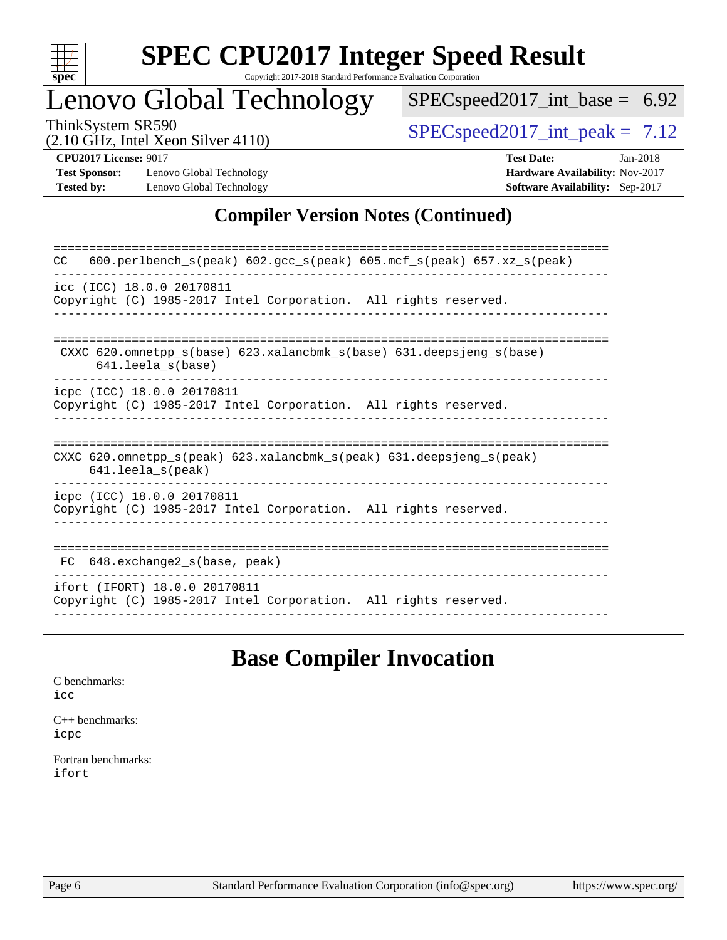

# **[SPEC CPU2017 Integer Speed Result](http://www.spec.org/auto/cpu2017/Docs/result-fields.html#SPECCPU2017IntegerSpeedResult)**

Copyright 2017-2018 Standard Performance Evaluation Corporation

## Lenovo Global Technology

[SPECspeed2017\\_int\\_base =](http://www.spec.org/auto/cpu2017/Docs/result-fields.html#SPECspeed2017intbase) 6.92

(2.10 GHz, Intel Xeon Silver 4110)

 $SPEC speed2017\_int\_peak = 7.12$ 

**[Test Sponsor:](http://www.spec.org/auto/cpu2017/Docs/result-fields.html#TestSponsor)** Lenovo Global Technology **[Hardware Availability:](http://www.spec.org/auto/cpu2017/Docs/result-fields.html#HardwareAvailability)** Nov-2017 **[Tested by:](http://www.spec.org/auto/cpu2017/Docs/result-fields.html#Testedby)** Lenovo Global Technology **[Software Availability:](http://www.spec.org/auto/cpu2017/Docs/result-fields.html#SoftwareAvailability)** Sep-2017

**[CPU2017 License:](http://www.spec.org/auto/cpu2017/Docs/result-fields.html#CPU2017License)** 9017 **[Test Date:](http://www.spec.org/auto/cpu2017/Docs/result-fields.html#TestDate)** Jan-2018

## **[Compiler Version Notes \(Continued\)](http://www.spec.org/auto/cpu2017/Docs/result-fields.html#CompilerVersionNotes)**

| 600.perlbench $s$ (peak) 602.gcc $s$ (peak) 605.mcf $s$ (peak) 657.xz $s$ (peak)<br>CC                                     |
|----------------------------------------------------------------------------------------------------------------------------|
| icc (ICC) 18.0.0 20170811<br>Copyright (C) 1985-2017 Intel Corporation. All rights reserved.                               |
|                                                                                                                            |
| CXXC 620.omnetpp $s(base)$ 623.xalancbmk $s(base)$ 631.deepsjeng $s(base)$<br>$641.$ leela_s(base)                         |
| icpc (ICC) 18.0.0 20170811<br>Copyright (C) 1985-2017 Intel Corporation. All rights reserved.                              |
|                                                                                                                            |
| CXXC 620.omnetpp $s(\text{peak})$ 623.xalancbmk $s(\text{peak})$ 631.deepsjeng $s(\text{peak})$<br>$641.$ leela $s$ (peak) |
| icpc (ICC) 18.0.0 20170811                                                                                                 |
| Copyright (C) 1985-2017 Intel Corporation. All rights reserved.                                                            |
|                                                                                                                            |
| 648.exchange2 s(base, peak)<br>FC                                                                                          |
| ifort (IFORT) 18.0.0 20170811<br>Copyright (C) 1985-2017 Intel Corporation. All rights reserved.                           |
|                                                                                                                            |

## **[Base Compiler Invocation](http://www.spec.org/auto/cpu2017/Docs/result-fields.html#BaseCompilerInvocation)**

[C benchmarks](http://www.spec.org/auto/cpu2017/Docs/result-fields.html#Cbenchmarks): [icc](http://www.spec.org/cpu2017/results/res2018q1/cpu2017-20180108-02546.flags.html#user_CCbase_intel_icc_18.0_66fc1ee009f7361af1fbd72ca7dcefbb700085f36577c54f309893dd4ec40d12360134090235512931783d35fd58c0460139e722d5067c5574d8eaf2b3e37e92)

[C++ benchmarks:](http://www.spec.org/auto/cpu2017/Docs/result-fields.html#CXXbenchmarks) [icpc](http://www.spec.org/cpu2017/results/res2018q1/cpu2017-20180108-02546.flags.html#user_CXXbase_intel_icpc_18.0_c510b6838c7f56d33e37e94d029a35b4a7bccf4766a728ee175e80a419847e808290a9b78be685c44ab727ea267ec2f070ec5dc83b407c0218cded6866a35d07)

[Fortran benchmarks](http://www.spec.org/auto/cpu2017/Docs/result-fields.html#Fortranbenchmarks): [ifort](http://www.spec.org/cpu2017/results/res2018q1/cpu2017-20180108-02546.flags.html#user_FCbase_intel_ifort_18.0_8111460550e3ca792625aed983ce982f94888b8b503583aa7ba2b8303487b4d8a21a13e7191a45c5fd58ff318f48f9492884d4413fa793fd88dd292cad7027ca)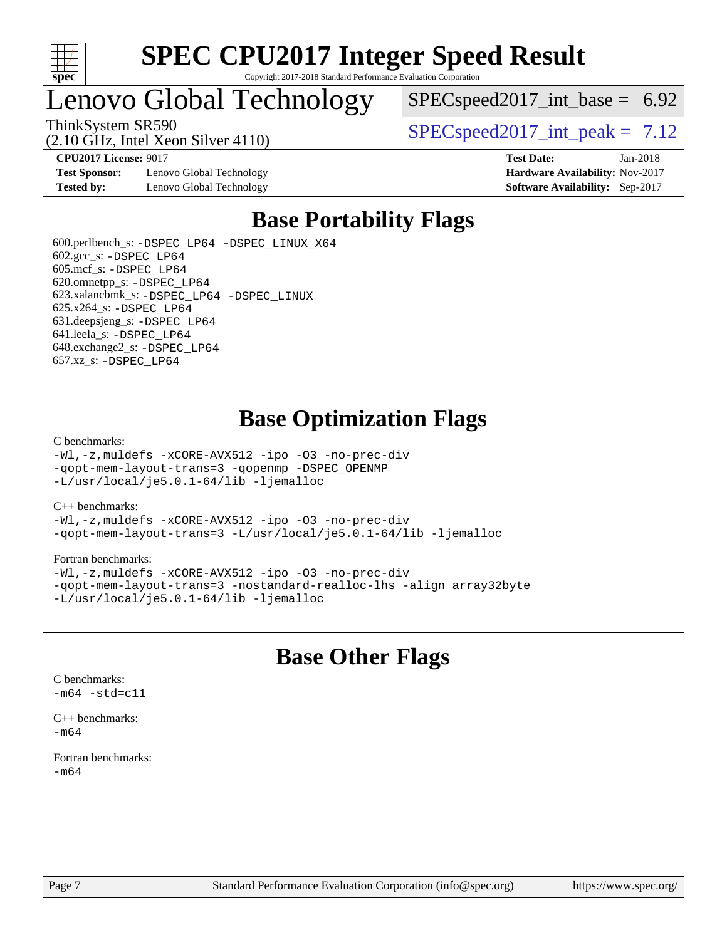

## Lenovo Global Technology

 $SPECspeed2017\_int\_base = 6.92$ 

(2.10 GHz, Intel Xeon Silver 4110)

ThinkSystem SR590  $SPEC speed2017$  int peak = 7.12

**[CPU2017 License:](http://www.spec.org/auto/cpu2017/Docs/result-fields.html#CPU2017License)** 9017 **[Test Date:](http://www.spec.org/auto/cpu2017/Docs/result-fields.html#TestDate)** Jan-2018

**[Test Sponsor:](http://www.spec.org/auto/cpu2017/Docs/result-fields.html#TestSponsor)** Lenovo Global Technology **[Hardware Availability:](http://www.spec.org/auto/cpu2017/Docs/result-fields.html#HardwareAvailability)** Nov-2017 **[Tested by:](http://www.spec.org/auto/cpu2017/Docs/result-fields.html#Testedby)** Lenovo Global Technology **[Software Availability:](http://www.spec.org/auto/cpu2017/Docs/result-fields.html#SoftwareAvailability)** Sep-2017

## **[Base Portability Flags](http://www.spec.org/auto/cpu2017/Docs/result-fields.html#BasePortabilityFlags)**

 600.perlbench\_s: [-DSPEC\\_LP64](http://www.spec.org/cpu2017/results/res2018q1/cpu2017-20180108-02546.flags.html#b600.perlbench_s_basePORTABILITY_DSPEC_LP64) [-DSPEC\\_LINUX\\_X64](http://www.spec.org/cpu2017/results/res2018q1/cpu2017-20180108-02546.flags.html#b600.perlbench_s_baseCPORTABILITY_DSPEC_LINUX_X64)  $602.\text{gcc}\$ s:  $-DSPEC$  LP64 605.mcf\_s: [-DSPEC\\_LP64](http://www.spec.org/cpu2017/results/res2018q1/cpu2017-20180108-02546.flags.html#suite_basePORTABILITY605_mcf_s_DSPEC_LP64) 620.omnetpp\_s: [-DSPEC\\_LP64](http://www.spec.org/cpu2017/results/res2018q1/cpu2017-20180108-02546.flags.html#suite_basePORTABILITY620_omnetpp_s_DSPEC_LP64) 623.xalancbmk\_s: [-DSPEC\\_LP64](http://www.spec.org/cpu2017/results/res2018q1/cpu2017-20180108-02546.flags.html#suite_basePORTABILITY623_xalancbmk_s_DSPEC_LP64) [-DSPEC\\_LINUX](http://www.spec.org/cpu2017/results/res2018q1/cpu2017-20180108-02546.flags.html#b623.xalancbmk_s_baseCXXPORTABILITY_DSPEC_LINUX) 625.x264\_s: [-DSPEC\\_LP64](http://www.spec.org/cpu2017/results/res2018q1/cpu2017-20180108-02546.flags.html#suite_basePORTABILITY625_x264_s_DSPEC_LP64) 631.deepsjeng\_s: [-DSPEC\\_LP64](http://www.spec.org/cpu2017/results/res2018q1/cpu2017-20180108-02546.flags.html#suite_basePORTABILITY631_deepsjeng_s_DSPEC_LP64) 641.leela\_s: [-DSPEC\\_LP64](http://www.spec.org/cpu2017/results/res2018q1/cpu2017-20180108-02546.flags.html#suite_basePORTABILITY641_leela_s_DSPEC_LP64) 648.exchange2\_s: [-DSPEC\\_LP64](http://www.spec.org/cpu2017/results/res2018q1/cpu2017-20180108-02546.flags.html#suite_basePORTABILITY648_exchange2_s_DSPEC_LP64) 657.xz\_s: [-DSPEC\\_LP64](http://www.spec.org/cpu2017/results/res2018q1/cpu2017-20180108-02546.flags.html#suite_basePORTABILITY657_xz_s_DSPEC_LP64)

## **[Base Optimization Flags](http://www.spec.org/auto/cpu2017/Docs/result-fields.html#BaseOptimizationFlags)**

#### [C benchmarks](http://www.spec.org/auto/cpu2017/Docs/result-fields.html#Cbenchmarks):

[-Wl,-z,muldefs](http://www.spec.org/cpu2017/results/res2018q1/cpu2017-20180108-02546.flags.html#user_CCbase_link_force_multiple1_b4cbdb97b34bdee9ceefcfe54f4c8ea74255f0b02a4b23e853cdb0e18eb4525ac79b5a88067c842dd0ee6996c24547a27a4b99331201badda8798ef8a743f577) [-xCORE-AVX512](http://www.spec.org/cpu2017/results/res2018q1/cpu2017-20180108-02546.flags.html#user_CCbase_f-xCORE-AVX512) [-ipo](http://www.spec.org/cpu2017/results/res2018q1/cpu2017-20180108-02546.flags.html#user_CCbase_f-ipo) [-O3](http://www.spec.org/cpu2017/results/res2018q1/cpu2017-20180108-02546.flags.html#user_CCbase_f-O3) [-no-prec-div](http://www.spec.org/cpu2017/results/res2018q1/cpu2017-20180108-02546.flags.html#user_CCbase_f-no-prec-div) [-qopt-mem-layout-trans=3](http://www.spec.org/cpu2017/results/res2018q1/cpu2017-20180108-02546.flags.html#user_CCbase_f-qopt-mem-layout-trans_de80db37974c74b1f0e20d883f0b675c88c3b01e9d123adea9b28688d64333345fb62bc4a798493513fdb68f60282f9a726aa07f478b2f7113531aecce732043) [-qopenmp](http://www.spec.org/cpu2017/results/res2018q1/cpu2017-20180108-02546.flags.html#user_CCbase_qopenmp_16be0c44f24f464004c6784a7acb94aca937f053568ce72f94b139a11c7c168634a55f6653758ddd83bcf7b8463e8028bb0b48b77bcddc6b78d5d95bb1df2967) [-DSPEC\\_OPENMP](http://www.spec.org/cpu2017/results/res2018q1/cpu2017-20180108-02546.flags.html#suite_CCbase_DSPEC_OPENMP) [-L/usr/local/je5.0.1-64/lib](http://www.spec.org/cpu2017/results/res2018q1/cpu2017-20180108-02546.flags.html#user_CCbase_jemalloc_link_path64_4b10a636b7bce113509b17f3bd0d6226c5fb2346b9178c2d0232c14f04ab830f976640479e5c33dc2bcbbdad86ecfb6634cbbd4418746f06f368b512fced5394) [-ljemalloc](http://www.spec.org/cpu2017/results/res2018q1/cpu2017-20180108-02546.flags.html#user_CCbase_jemalloc_link_lib_d1249b907c500fa1c0672f44f562e3d0f79738ae9e3c4a9c376d49f265a04b9c99b167ecedbf6711b3085be911c67ff61f150a17b3472be731631ba4d0471706)

#### [C++ benchmarks:](http://www.spec.org/auto/cpu2017/Docs/result-fields.html#CXXbenchmarks)

[-Wl,-z,muldefs](http://www.spec.org/cpu2017/results/res2018q1/cpu2017-20180108-02546.flags.html#user_CXXbase_link_force_multiple1_b4cbdb97b34bdee9ceefcfe54f4c8ea74255f0b02a4b23e853cdb0e18eb4525ac79b5a88067c842dd0ee6996c24547a27a4b99331201badda8798ef8a743f577) [-xCORE-AVX512](http://www.spec.org/cpu2017/results/res2018q1/cpu2017-20180108-02546.flags.html#user_CXXbase_f-xCORE-AVX512) [-ipo](http://www.spec.org/cpu2017/results/res2018q1/cpu2017-20180108-02546.flags.html#user_CXXbase_f-ipo) [-O3](http://www.spec.org/cpu2017/results/res2018q1/cpu2017-20180108-02546.flags.html#user_CXXbase_f-O3) [-no-prec-div](http://www.spec.org/cpu2017/results/res2018q1/cpu2017-20180108-02546.flags.html#user_CXXbase_f-no-prec-div) [-qopt-mem-layout-trans=3](http://www.spec.org/cpu2017/results/res2018q1/cpu2017-20180108-02546.flags.html#user_CXXbase_f-qopt-mem-layout-trans_de80db37974c74b1f0e20d883f0b675c88c3b01e9d123adea9b28688d64333345fb62bc4a798493513fdb68f60282f9a726aa07f478b2f7113531aecce732043) [-L/usr/local/je5.0.1-64/lib](http://www.spec.org/cpu2017/results/res2018q1/cpu2017-20180108-02546.flags.html#user_CXXbase_jemalloc_link_path64_4b10a636b7bce113509b17f3bd0d6226c5fb2346b9178c2d0232c14f04ab830f976640479e5c33dc2bcbbdad86ecfb6634cbbd4418746f06f368b512fced5394) [-ljemalloc](http://www.spec.org/cpu2017/results/res2018q1/cpu2017-20180108-02546.flags.html#user_CXXbase_jemalloc_link_lib_d1249b907c500fa1c0672f44f562e3d0f79738ae9e3c4a9c376d49f265a04b9c99b167ecedbf6711b3085be911c67ff61f150a17b3472be731631ba4d0471706)

#### [Fortran benchmarks](http://www.spec.org/auto/cpu2017/Docs/result-fields.html#Fortranbenchmarks):

[-Wl,-z,muldefs](http://www.spec.org/cpu2017/results/res2018q1/cpu2017-20180108-02546.flags.html#user_FCbase_link_force_multiple1_b4cbdb97b34bdee9ceefcfe54f4c8ea74255f0b02a4b23e853cdb0e18eb4525ac79b5a88067c842dd0ee6996c24547a27a4b99331201badda8798ef8a743f577) [-xCORE-AVX512](http://www.spec.org/cpu2017/results/res2018q1/cpu2017-20180108-02546.flags.html#user_FCbase_f-xCORE-AVX512) [-ipo](http://www.spec.org/cpu2017/results/res2018q1/cpu2017-20180108-02546.flags.html#user_FCbase_f-ipo) [-O3](http://www.spec.org/cpu2017/results/res2018q1/cpu2017-20180108-02546.flags.html#user_FCbase_f-O3) [-no-prec-div](http://www.spec.org/cpu2017/results/res2018q1/cpu2017-20180108-02546.flags.html#user_FCbase_f-no-prec-div) [-qopt-mem-layout-trans=3](http://www.spec.org/cpu2017/results/res2018q1/cpu2017-20180108-02546.flags.html#user_FCbase_f-qopt-mem-layout-trans_de80db37974c74b1f0e20d883f0b675c88c3b01e9d123adea9b28688d64333345fb62bc4a798493513fdb68f60282f9a726aa07f478b2f7113531aecce732043) [-nostandard-realloc-lhs](http://www.spec.org/cpu2017/results/res2018q1/cpu2017-20180108-02546.flags.html#user_FCbase_f_2003_std_realloc_82b4557e90729c0f113870c07e44d33d6f5a304b4f63d4c15d2d0f1fab99f5daaed73bdb9275d9ae411527f28b936061aa8b9c8f2d63842963b95c9dd6426b8a) [-align array32byte](http://www.spec.org/cpu2017/results/res2018q1/cpu2017-20180108-02546.flags.html#user_FCbase_align_array32byte_b982fe038af199962ba9a80c053b8342c548c85b40b8e86eb3cc33dee0d7986a4af373ac2d51c3f7cf710a18d62fdce2948f201cd044323541f22fc0fffc51b6) [-L/usr/local/je5.0.1-64/lib](http://www.spec.org/cpu2017/results/res2018q1/cpu2017-20180108-02546.flags.html#user_FCbase_jemalloc_link_path64_4b10a636b7bce113509b17f3bd0d6226c5fb2346b9178c2d0232c14f04ab830f976640479e5c33dc2bcbbdad86ecfb6634cbbd4418746f06f368b512fced5394) [-ljemalloc](http://www.spec.org/cpu2017/results/res2018q1/cpu2017-20180108-02546.flags.html#user_FCbase_jemalloc_link_lib_d1249b907c500fa1c0672f44f562e3d0f79738ae9e3c4a9c376d49f265a04b9c99b167ecedbf6711b3085be911c67ff61f150a17b3472be731631ba4d0471706)

## **[Base Other Flags](http://www.spec.org/auto/cpu2017/Docs/result-fields.html#BaseOtherFlags)**

[C benchmarks](http://www.spec.org/auto/cpu2017/Docs/result-fields.html#Cbenchmarks):  $-m64 - std= c11$  $-m64 - std= c11$ 

[C++ benchmarks:](http://www.spec.org/auto/cpu2017/Docs/result-fields.html#CXXbenchmarks) [-m64](http://www.spec.org/cpu2017/results/res2018q1/cpu2017-20180108-02546.flags.html#user_CXXbase_intel_intel64_18.0_af43caccfc8ded86e7699f2159af6efc7655f51387b94da716254467f3c01020a5059329e2569e4053f409e7c9202a7efc638f7a6d1ffb3f52dea4a3e31d82ab)

[Fortran benchmarks](http://www.spec.org/auto/cpu2017/Docs/result-fields.html#Fortranbenchmarks): [-m64](http://www.spec.org/cpu2017/results/res2018q1/cpu2017-20180108-02546.flags.html#user_FCbase_intel_intel64_18.0_af43caccfc8ded86e7699f2159af6efc7655f51387b94da716254467f3c01020a5059329e2569e4053f409e7c9202a7efc638f7a6d1ffb3f52dea4a3e31d82ab)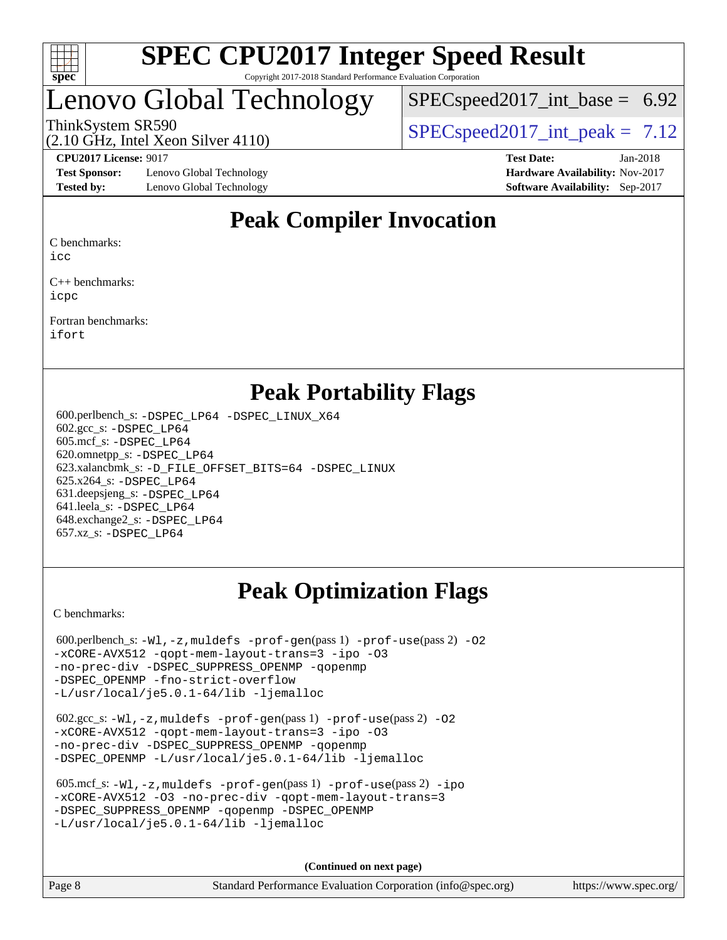

## enovo Global Technology

 $SPECspeed2017\_int\_base = 6.92$ 

ThinkSystem SR590  $SPEC speed2017$  int peak = 7.12

**[Test Sponsor:](http://www.spec.org/auto/cpu2017/Docs/result-fields.html#TestSponsor)** Lenovo Global Technology **[Hardware Availability:](http://www.spec.org/auto/cpu2017/Docs/result-fields.html#HardwareAvailability)** Nov-2017 **[Tested by:](http://www.spec.org/auto/cpu2017/Docs/result-fields.html#Testedby)** Lenovo Global Technology **[Software Availability:](http://www.spec.org/auto/cpu2017/Docs/result-fields.html#SoftwareAvailability)** Sep-2017

(2.10 GHz, Intel Xeon Silver 4110)

**[CPU2017 License:](http://www.spec.org/auto/cpu2017/Docs/result-fields.html#CPU2017License)** 9017 **[Test Date:](http://www.spec.org/auto/cpu2017/Docs/result-fields.html#TestDate)** Jan-2018

## **[Peak Compiler Invocation](http://www.spec.org/auto/cpu2017/Docs/result-fields.html#PeakCompilerInvocation)**

[C benchmarks](http://www.spec.org/auto/cpu2017/Docs/result-fields.html#Cbenchmarks):

[icc](http://www.spec.org/cpu2017/results/res2018q1/cpu2017-20180108-02546.flags.html#user_CCpeak_intel_icc_18.0_66fc1ee009f7361af1fbd72ca7dcefbb700085f36577c54f309893dd4ec40d12360134090235512931783d35fd58c0460139e722d5067c5574d8eaf2b3e37e92)

[C++ benchmarks:](http://www.spec.org/auto/cpu2017/Docs/result-fields.html#CXXbenchmarks) [icpc](http://www.spec.org/cpu2017/results/res2018q1/cpu2017-20180108-02546.flags.html#user_CXXpeak_intel_icpc_18.0_c510b6838c7f56d33e37e94d029a35b4a7bccf4766a728ee175e80a419847e808290a9b78be685c44ab727ea267ec2f070ec5dc83b407c0218cded6866a35d07)

[Fortran benchmarks](http://www.spec.org/auto/cpu2017/Docs/result-fields.html#Fortranbenchmarks): [ifort](http://www.spec.org/cpu2017/results/res2018q1/cpu2017-20180108-02546.flags.html#user_FCpeak_intel_ifort_18.0_8111460550e3ca792625aed983ce982f94888b8b503583aa7ba2b8303487b4d8a21a13e7191a45c5fd58ff318f48f9492884d4413fa793fd88dd292cad7027ca)

## **[Peak Portability Flags](http://www.spec.org/auto/cpu2017/Docs/result-fields.html#PeakPortabilityFlags)**

 600.perlbench\_s: [-DSPEC\\_LP64](http://www.spec.org/cpu2017/results/res2018q1/cpu2017-20180108-02546.flags.html#b600.perlbench_s_peakPORTABILITY_DSPEC_LP64) [-DSPEC\\_LINUX\\_X64](http://www.spec.org/cpu2017/results/res2018q1/cpu2017-20180108-02546.flags.html#b600.perlbench_s_peakCPORTABILITY_DSPEC_LINUX_X64) 602.gcc\_s: [-DSPEC\\_LP64](http://www.spec.org/cpu2017/results/res2018q1/cpu2017-20180108-02546.flags.html#suite_peakPORTABILITY602_gcc_s_DSPEC_LP64) 605.mcf\_s: [-DSPEC\\_LP64](http://www.spec.org/cpu2017/results/res2018q1/cpu2017-20180108-02546.flags.html#suite_peakPORTABILITY605_mcf_s_DSPEC_LP64) 620.omnetpp\_s: [-DSPEC\\_LP64](http://www.spec.org/cpu2017/results/res2018q1/cpu2017-20180108-02546.flags.html#suite_peakPORTABILITY620_omnetpp_s_DSPEC_LP64) 623.xalancbmk\_s: [-D\\_FILE\\_OFFSET\\_BITS=64](http://www.spec.org/cpu2017/results/res2018q1/cpu2017-20180108-02546.flags.html#user_peakPORTABILITY623_xalancbmk_s_file_offset_bits_64_5ae949a99b284ddf4e95728d47cb0843d81b2eb0e18bdfe74bbf0f61d0b064f4bda2f10ea5eb90e1dcab0e84dbc592acfc5018bc955c18609f94ddb8d550002c) [-DSPEC\\_LINUX](http://www.spec.org/cpu2017/results/res2018q1/cpu2017-20180108-02546.flags.html#b623.xalancbmk_s_peakCXXPORTABILITY_DSPEC_LINUX) 625.x264\_s: [-DSPEC\\_LP64](http://www.spec.org/cpu2017/results/res2018q1/cpu2017-20180108-02546.flags.html#suite_peakPORTABILITY625_x264_s_DSPEC_LP64) 631.deepsjeng\_s: [-DSPEC\\_LP64](http://www.spec.org/cpu2017/results/res2018q1/cpu2017-20180108-02546.flags.html#suite_peakPORTABILITY631_deepsjeng_s_DSPEC_LP64) 641.leela\_s: [-DSPEC\\_LP64](http://www.spec.org/cpu2017/results/res2018q1/cpu2017-20180108-02546.flags.html#suite_peakPORTABILITY641_leela_s_DSPEC_LP64) 648.exchange2\_s: [-DSPEC\\_LP64](http://www.spec.org/cpu2017/results/res2018q1/cpu2017-20180108-02546.flags.html#suite_peakPORTABILITY648_exchange2_s_DSPEC_LP64) 657.xz\_s: [-DSPEC\\_LP64](http://www.spec.org/cpu2017/results/res2018q1/cpu2017-20180108-02546.flags.html#suite_peakPORTABILITY657_xz_s_DSPEC_LP64)

## **[Peak Optimization Flags](http://www.spec.org/auto/cpu2017/Docs/result-fields.html#PeakOptimizationFlags)**

[C benchmarks](http://www.spec.org/auto/cpu2017/Docs/result-fields.html#Cbenchmarks):

600.perlbench\_s:  $-W1$ , -z, muldefs [-prof-gen](http://www.spec.org/cpu2017/results/res2018q1/cpu2017-20180108-02546.flags.html#user_peakPASS1_CFLAGSPASS1_LDFLAGS600_perlbench_s_prof_gen_5aa4926d6013ddb2a31985c654b3eb18169fc0c6952a63635c234f711e6e63dd76e94ad52365559451ec499a2cdb89e4dc58ba4c67ef54ca681ffbe1461d6b36)(pass 1) [-prof-use](http://www.spec.org/cpu2017/results/res2018q1/cpu2017-20180108-02546.flags.html#user_peakPASS2_CFLAGSPASS2_LDFLAGS600_perlbench_s_prof_use_1a21ceae95f36a2b53c25747139a6c16ca95bd9def2a207b4f0849963b97e94f5260e30a0c64f4bb623698870e679ca08317ef8150905d41bd88c6f78df73f19)(pass 2) -02 [-xCORE-AVX512](http://www.spec.org/cpu2017/results/res2018q1/cpu2017-20180108-02546.flags.html#user_peakPASS2_COPTIMIZE600_perlbench_s_f-xCORE-AVX512) [-qopt-mem-layout-trans=3](http://www.spec.org/cpu2017/results/res2018q1/cpu2017-20180108-02546.flags.html#user_peakPASS1_COPTIMIZEPASS2_COPTIMIZE600_perlbench_s_f-qopt-mem-layout-trans_de80db37974c74b1f0e20d883f0b675c88c3b01e9d123adea9b28688d64333345fb62bc4a798493513fdb68f60282f9a726aa07f478b2f7113531aecce732043) [-ipo](http://www.spec.org/cpu2017/results/res2018q1/cpu2017-20180108-02546.flags.html#user_peakPASS2_COPTIMIZE600_perlbench_s_f-ipo) [-O3](http://www.spec.org/cpu2017/results/res2018q1/cpu2017-20180108-02546.flags.html#user_peakPASS2_COPTIMIZE600_perlbench_s_f-O3) [-no-prec-div](http://www.spec.org/cpu2017/results/res2018q1/cpu2017-20180108-02546.flags.html#user_peakPASS2_COPTIMIZE600_perlbench_s_f-no-prec-div) [-DSPEC\\_SUPPRESS\\_OPENMP](http://www.spec.org/cpu2017/results/res2018q1/cpu2017-20180108-02546.flags.html#suite_peakPASS1_COPTIMIZE600_perlbench_s_DSPEC_SUPPRESS_OPENMP) [-qopenmp](http://www.spec.org/cpu2017/results/res2018q1/cpu2017-20180108-02546.flags.html#user_peakPASS2_COPTIMIZE600_perlbench_s_qopenmp_16be0c44f24f464004c6784a7acb94aca937f053568ce72f94b139a11c7c168634a55f6653758ddd83bcf7b8463e8028bb0b48b77bcddc6b78d5d95bb1df2967) [-DSPEC\\_OPENMP](http://www.spec.org/cpu2017/results/res2018q1/cpu2017-20180108-02546.flags.html#suite_peakPASS2_COPTIMIZE600_perlbench_s_DSPEC_OPENMP) [-fno-strict-overflow](http://www.spec.org/cpu2017/results/res2018q1/cpu2017-20180108-02546.flags.html#user_peakEXTRA_OPTIMIZE600_perlbench_s_f-fno-strict-overflow) [-L/usr/local/je5.0.1-64/lib](http://www.spec.org/cpu2017/results/res2018q1/cpu2017-20180108-02546.flags.html#user_peakEXTRA_LIBS600_perlbench_s_jemalloc_link_path64_4b10a636b7bce113509b17f3bd0d6226c5fb2346b9178c2d0232c14f04ab830f976640479e5c33dc2bcbbdad86ecfb6634cbbd4418746f06f368b512fced5394) [-ljemalloc](http://www.spec.org/cpu2017/results/res2018q1/cpu2017-20180108-02546.flags.html#user_peakEXTRA_LIBS600_perlbench_s_jemalloc_link_lib_d1249b907c500fa1c0672f44f562e3d0f79738ae9e3c4a9c376d49f265a04b9c99b167ecedbf6711b3085be911c67ff61f150a17b3472be731631ba4d0471706)

 602.gcc\_s: [-Wl,-z,muldefs](http://www.spec.org/cpu2017/results/res2018q1/cpu2017-20180108-02546.flags.html#user_peakEXTRA_LDFLAGS602_gcc_s_link_force_multiple1_b4cbdb97b34bdee9ceefcfe54f4c8ea74255f0b02a4b23e853cdb0e18eb4525ac79b5a88067c842dd0ee6996c24547a27a4b99331201badda8798ef8a743f577) [-prof-gen](http://www.spec.org/cpu2017/results/res2018q1/cpu2017-20180108-02546.flags.html#user_peakPASS1_CFLAGSPASS1_LDFLAGS602_gcc_s_prof_gen_5aa4926d6013ddb2a31985c654b3eb18169fc0c6952a63635c234f711e6e63dd76e94ad52365559451ec499a2cdb89e4dc58ba4c67ef54ca681ffbe1461d6b36)(pass 1) [-prof-use](http://www.spec.org/cpu2017/results/res2018q1/cpu2017-20180108-02546.flags.html#user_peakPASS2_CFLAGSPASS2_LDFLAGS602_gcc_s_prof_use_1a21ceae95f36a2b53c25747139a6c16ca95bd9def2a207b4f0849963b97e94f5260e30a0c64f4bb623698870e679ca08317ef8150905d41bd88c6f78df73f19)(pass 2) [-O2](http://www.spec.org/cpu2017/results/res2018q1/cpu2017-20180108-02546.flags.html#user_peakPASS1_COPTIMIZE602_gcc_s_f-O2) [-xCORE-AVX512](http://www.spec.org/cpu2017/results/res2018q1/cpu2017-20180108-02546.flags.html#user_peakPASS2_COPTIMIZE602_gcc_s_f-xCORE-AVX512) [-qopt-mem-layout-trans=3](http://www.spec.org/cpu2017/results/res2018q1/cpu2017-20180108-02546.flags.html#user_peakPASS1_COPTIMIZEPASS2_COPTIMIZE602_gcc_s_f-qopt-mem-layout-trans_de80db37974c74b1f0e20d883f0b675c88c3b01e9d123adea9b28688d64333345fb62bc4a798493513fdb68f60282f9a726aa07f478b2f7113531aecce732043) [-ipo](http://www.spec.org/cpu2017/results/res2018q1/cpu2017-20180108-02546.flags.html#user_peakPASS2_COPTIMIZE602_gcc_s_f-ipo) [-O3](http://www.spec.org/cpu2017/results/res2018q1/cpu2017-20180108-02546.flags.html#user_peakPASS2_COPTIMIZE602_gcc_s_f-O3) [-no-prec-div](http://www.spec.org/cpu2017/results/res2018q1/cpu2017-20180108-02546.flags.html#user_peakPASS2_COPTIMIZE602_gcc_s_f-no-prec-div) [-DSPEC\\_SUPPRESS\\_OPENMP](http://www.spec.org/cpu2017/results/res2018q1/cpu2017-20180108-02546.flags.html#suite_peakPASS1_COPTIMIZE602_gcc_s_DSPEC_SUPPRESS_OPENMP) [-qopenmp](http://www.spec.org/cpu2017/results/res2018q1/cpu2017-20180108-02546.flags.html#user_peakPASS2_COPTIMIZE602_gcc_s_qopenmp_16be0c44f24f464004c6784a7acb94aca937f053568ce72f94b139a11c7c168634a55f6653758ddd83bcf7b8463e8028bb0b48b77bcddc6b78d5d95bb1df2967) [-DSPEC\\_OPENMP](http://www.spec.org/cpu2017/results/res2018q1/cpu2017-20180108-02546.flags.html#suite_peakPASS2_COPTIMIZE602_gcc_s_DSPEC_OPENMP) [-L/usr/local/je5.0.1-64/lib](http://www.spec.org/cpu2017/results/res2018q1/cpu2017-20180108-02546.flags.html#user_peakEXTRA_LIBS602_gcc_s_jemalloc_link_path64_4b10a636b7bce113509b17f3bd0d6226c5fb2346b9178c2d0232c14f04ab830f976640479e5c33dc2bcbbdad86ecfb6634cbbd4418746f06f368b512fced5394) [-ljemalloc](http://www.spec.org/cpu2017/results/res2018q1/cpu2017-20180108-02546.flags.html#user_peakEXTRA_LIBS602_gcc_s_jemalloc_link_lib_d1249b907c500fa1c0672f44f562e3d0f79738ae9e3c4a9c376d49f265a04b9c99b167ecedbf6711b3085be911c67ff61f150a17b3472be731631ba4d0471706)

| $605.\text{mcf}\text{ s}: -W1, -z$ , muldefs $-prof-qen(pass1)$ $-prof-use(pass2)$ -ipo |
|-----------------------------------------------------------------------------------------|
| -xCORE-AVX512 -03 -no-prec-div -gopt-mem-layout-trans=3                                 |
| -DSPEC SUPPRESS OPENMP - aopenmp - DSPEC OPENMP                                         |
| $-L/usr/local/ie5.0.1-64/lib -liemalloc$                                                |

**(Continued on next page)**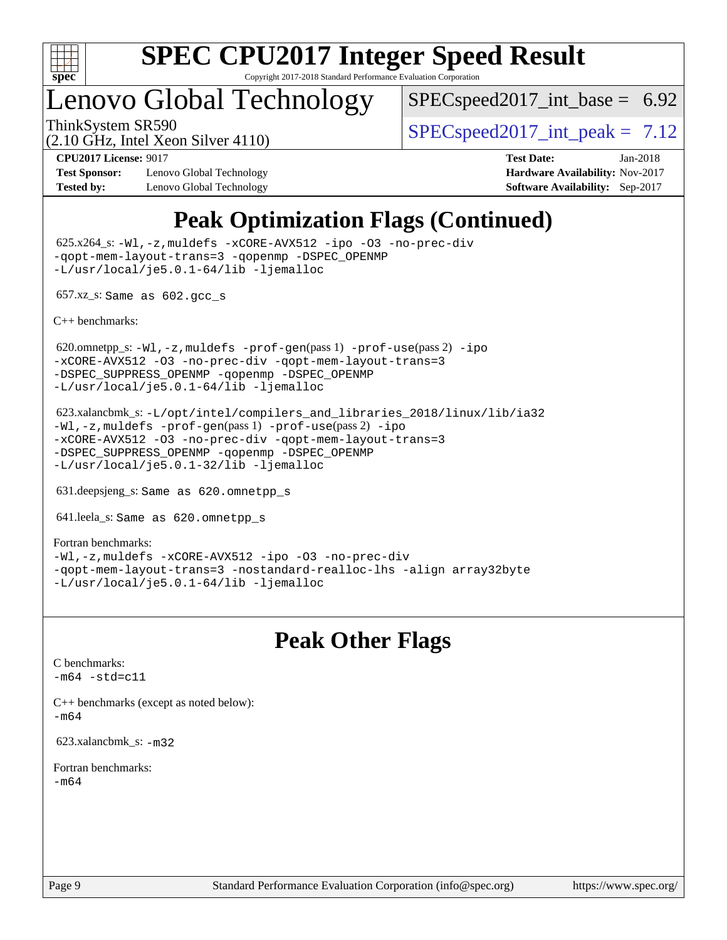

## Lenovo Global Technology

 $SPECspeed2017\_int\_base = 6.92$ 

(2.10 GHz, Intel Xeon Silver 4110)

ThinkSystem SR590  $SPEC speed2017$  int peak = 7.12

**[Test Sponsor:](http://www.spec.org/auto/cpu2017/Docs/result-fields.html#TestSponsor)** Lenovo Global Technology **[Hardware Availability:](http://www.spec.org/auto/cpu2017/Docs/result-fields.html#HardwareAvailability)** Nov-2017 **[Tested by:](http://www.spec.org/auto/cpu2017/Docs/result-fields.html#Testedby)** Lenovo Global Technology **[Software Availability:](http://www.spec.org/auto/cpu2017/Docs/result-fields.html#SoftwareAvailability)** Sep-2017

**[CPU2017 License:](http://www.spec.org/auto/cpu2017/Docs/result-fields.html#CPU2017License)** 9017 **[Test Date:](http://www.spec.org/auto/cpu2017/Docs/result-fields.html#TestDate)** Jan-2018

## **[Peak Optimization Flags \(Continued\)](http://www.spec.org/auto/cpu2017/Docs/result-fields.html#PeakOptimizationFlags)**

 625.x264\_s: [-Wl,-z,muldefs](http://www.spec.org/cpu2017/results/res2018q1/cpu2017-20180108-02546.flags.html#user_peakEXTRA_LDFLAGS625_x264_s_link_force_multiple1_b4cbdb97b34bdee9ceefcfe54f4c8ea74255f0b02a4b23e853cdb0e18eb4525ac79b5a88067c842dd0ee6996c24547a27a4b99331201badda8798ef8a743f577) [-xCORE-AVX512](http://www.spec.org/cpu2017/results/res2018q1/cpu2017-20180108-02546.flags.html#user_peakCOPTIMIZE625_x264_s_f-xCORE-AVX512) [-ipo](http://www.spec.org/cpu2017/results/res2018q1/cpu2017-20180108-02546.flags.html#user_peakCOPTIMIZE625_x264_s_f-ipo) [-O3](http://www.spec.org/cpu2017/results/res2018q1/cpu2017-20180108-02546.flags.html#user_peakCOPTIMIZE625_x264_s_f-O3) [-no-prec-div](http://www.spec.org/cpu2017/results/res2018q1/cpu2017-20180108-02546.flags.html#user_peakCOPTIMIZE625_x264_s_f-no-prec-div) [-qopt-mem-layout-trans=3](http://www.spec.org/cpu2017/results/res2018q1/cpu2017-20180108-02546.flags.html#user_peakCOPTIMIZE625_x264_s_f-qopt-mem-layout-trans_de80db37974c74b1f0e20d883f0b675c88c3b01e9d123adea9b28688d64333345fb62bc4a798493513fdb68f60282f9a726aa07f478b2f7113531aecce732043) [-qopenmp](http://www.spec.org/cpu2017/results/res2018q1/cpu2017-20180108-02546.flags.html#user_peakCOPTIMIZE625_x264_s_qopenmp_16be0c44f24f464004c6784a7acb94aca937f053568ce72f94b139a11c7c168634a55f6653758ddd83bcf7b8463e8028bb0b48b77bcddc6b78d5d95bb1df2967) [-DSPEC\\_OPENMP](http://www.spec.org/cpu2017/results/res2018q1/cpu2017-20180108-02546.flags.html#suite_peakCOPTIMIZE625_x264_s_DSPEC_OPENMP) [-L/usr/local/je5.0.1-64/lib](http://www.spec.org/cpu2017/results/res2018q1/cpu2017-20180108-02546.flags.html#user_peakEXTRA_LIBS625_x264_s_jemalloc_link_path64_4b10a636b7bce113509b17f3bd0d6226c5fb2346b9178c2d0232c14f04ab830f976640479e5c33dc2bcbbdad86ecfb6634cbbd4418746f06f368b512fced5394) [-ljemalloc](http://www.spec.org/cpu2017/results/res2018q1/cpu2017-20180108-02546.flags.html#user_peakEXTRA_LIBS625_x264_s_jemalloc_link_lib_d1249b907c500fa1c0672f44f562e3d0f79738ae9e3c4a9c376d49f265a04b9c99b167ecedbf6711b3085be911c67ff61f150a17b3472be731631ba4d0471706)

657.xz\_s: Same as 602.gcc\_s

[C++ benchmarks:](http://www.spec.org/auto/cpu2017/Docs/result-fields.html#CXXbenchmarks)

620.omnetpp\_s: $-W1$ ,-z,muldefs -prof-qen(pass 1) [-prof-use](http://www.spec.org/cpu2017/results/res2018q1/cpu2017-20180108-02546.flags.html#user_peakPASS2_CXXFLAGSPASS2_LDFLAGS620_omnetpp_s_prof_use_1a21ceae95f36a2b53c25747139a6c16ca95bd9def2a207b4f0849963b97e94f5260e30a0c64f4bb623698870e679ca08317ef8150905d41bd88c6f78df73f19)(pass 2) [-ipo](http://www.spec.org/cpu2017/results/res2018q1/cpu2017-20180108-02546.flags.html#user_peakPASS1_CXXOPTIMIZEPASS2_CXXOPTIMIZE620_omnetpp_s_f-ipo) [-xCORE-AVX512](http://www.spec.org/cpu2017/results/res2018q1/cpu2017-20180108-02546.flags.html#user_peakPASS2_CXXOPTIMIZE620_omnetpp_s_f-xCORE-AVX512) [-O3](http://www.spec.org/cpu2017/results/res2018q1/cpu2017-20180108-02546.flags.html#user_peakPASS1_CXXOPTIMIZEPASS2_CXXOPTIMIZE620_omnetpp_s_f-O3) [-no-prec-div](http://www.spec.org/cpu2017/results/res2018q1/cpu2017-20180108-02546.flags.html#user_peakPASS1_CXXOPTIMIZEPASS2_CXXOPTIMIZE620_omnetpp_s_f-no-prec-div) [-qopt-mem-layout-trans=3](http://www.spec.org/cpu2017/results/res2018q1/cpu2017-20180108-02546.flags.html#user_peakPASS1_CXXOPTIMIZEPASS2_CXXOPTIMIZE620_omnetpp_s_f-qopt-mem-layout-trans_de80db37974c74b1f0e20d883f0b675c88c3b01e9d123adea9b28688d64333345fb62bc4a798493513fdb68f60282f9a726aa07f478b2f7113531aecce732043) [-DSPEC\\_SUPPRESS\\_OPENMP](http://www.spec.org/cpu2017/results/res2018q1/cpu2017-20180108-02546.flags.html#suite_peakPASS1_CXXOPTIMIZE620_omnetpp_s_DSPEC_SUPPRESS_OPENMP) [-qopenmp](http://www.spec.org/cpu2017/results/res2018q1/cpu2017-20180108-02546.flags.html#user_peakPASS2_CXXOPTIMIZE620_omnetpp_s_qopenmp_16be0c44f24f464004c6784a7acb94aca937f053568ce72f94b139a11c7c168634a55f6653758ddd83bcf7b8463e8028bb0b48b77bcddc6b78d5d95bb1df2967) [-DSPEC\\_OPENMP](http://www.spec.org/cpu2017/results/res2018q1/cpu2017-20180108-02546.flags.html#suite_peakPASS2_CXXOPTIMIZE620_omnetpp_s_DSPEC_OPENMP) [-L/usr/local/je5.0.1-64/lib](http://www.spec.org/cpu2017/results/res2018q1/cpu2017-20180108-02546.flags.html#user_peakEXTRA_LIBS620_omnetpp_s_jemalloc_link_path64_4b10a636b7bce113509b17f3bd0d6226c5fb2346b9178c2d0232c14f04ab830f976640479e5c33dc2bcbbdad86ecfb6634cbbd4418746f06f368b512fced5394) [-ljemalloc](http://www.spec.org/cpu2017/results/res2018q1/cpu2017-20180108-02546.flags.html#user_peakEXTRA_LIBS620_omnetpp_s_jemalloc_link_lib_d1249b907c500fa1c0672f44f562e3d0f79738ae9e3c4a9c376d49f265a04b9c99b167ecedbf6711b3085be911c67ff61f150a17b3472be731631ba4d0471706)

 623.xalancbmk\_s: [-L/opt/intel/compilers\\_and\\_libraries\\_2018/linux/lib/ia32](http://www.spec.org/cpu2017/results/res2018q1/cpu2017-20180108-02546.flags.html#user_peakCXXLD623_xalancbmk_s_Enable-32bit-runtime_af243bdb1d79e4c7a4f720bf8275e627de2ecd461de63307bc14cef0633fde3cd7bb2facb32dcc8be9566045fb55d40ce2b72b725f73827aa7833441b71b9343) [-Wl,-z,muldefs](http://www.spec.org/cpu2017/results/res2018q1/cpu2017-20180108-02546.flags.html#user_peakEXTRA_LDFLAGS623_xalancbmk_s_link_force_multiple1_b4cbdb97b34bdee9ceefcfe54f4c8ea74255f0b02a4b23e853cdb0e18eb4525ac79b5a88067c842dd0ee6996c24547a27a4b99331201badda8798ef8a743f577) [-prof-gen](http://www.spec.org/cpu2017/results/res2018q1/cpu2017-20180108-02546.flags.html#user_peakPASS1_CXXFLAGSPASS1_LDFLAGS623_xalancbmk_s_prof_gen_5aa4926d6013ddb2a31985c654b3eb18169fc0c6952a63635c234f711e6e63dd76e94ad52365559451ec499a2cdb89e4dc58ba4c67ef54ca681ffbe1461d6b36)(pass 1) [-prof-use](http://www.spec.org/cpu2017/results/res2018q1/cpu2017-20180108-02546.flags.html#user_peakPASS2_CXXFLAGSPASS2_LDFLAGS623_xalancbmk_s_prof_use_1a21ceae95f36a2b53c25747139a6c16ca95bd9def2a207b4f0849963b97e94f5260e30a0c64f4bb623698870e679ca08317ef8150905d41bd88c6f78df73f19)(pass 2) [-ipo](http://www.spec.org/cpu2017/results/res2018q1/cpu2017-20180108-02546.flags.html#user_peakPASS1_CXXOPTIMIZEPASS2_CXXOPTIMIZE623_xalancbmk_s_f-ipo) [-xCORE-AVX512](http://www.spec.org/cpu2017/results/res2018q1/cpu2017-20180108-02546.flags.html#user_peakPASS2_CXXOPTIMIZE623_xalancbmk_s_f-xCORE-AVX512) [-O3](http://www.spec.org/cpu2017/results/res2018q1/cpu2017-20180108-02546.flags.html#user_peakPASS1_CXXOPTIMIZEPASS2_CXXOPTIMIZE623_xalancbmk_s_f-O3) [-no-prec-div](http://www.spec.org/cpu2017/results/res2018q1/cpu2017-20180108-02546.flags.html#user_peakPASS1_CXXOPTIMIZEPASS2_CXXOPTIMIZE623_xalancbmk_s_f-no-prec-div) [-qopt-mem-layout-trans=3](http://www.spec.org/cpu2017/results/res2018q1/cpu2017-20180108-02546.flags.html#user_peakPASS1_CXXOPTIMIZEPASS2_CXXOPTIMIZE623_xalancbmk_s_f-qopt-mem-layout-trans_de80db37974c74b1f0e20d883f0b675c88c3b01e9d123adea9b28688d64333345fb62bc4a798493513fdb68f60282f9a726aa07f478b2f7113531aecce732043) [-DSPEC\\_SUPPRESS\\_OPENMP](http://www.spec.org/cpu2017/results/res2018q1/cpu2017-20180108-02546.flags.html#suite_peakPASS1_CXXOPTIMIZE623_xalancbmk_s_DSPEC_SUPPRESS_OPENMP) [-qopenmp](http://www.spec.org/cpu2017/results/res2018q1/cpu2017-20180108-02546.flags.html#user_peakPASS2_CXXOPTIMIZE623_xalancbmk_s_qopenmp_16be0c44f24f464004c6784a7acb94aca937f053568ce72f94b139a11c7c168634a55f6653758ddd83bcf7b8463e8028bb0b48b77bcddc6b78d5d95bb1df2967) [-DSPEC\\_OPENMP](http://www.spec.org/cpu2017/results/res2018q1/cpu2017-20180108-02546.flags.html#suite_peakPASS2_CXXOPTIMIZE623_xalancbmk_s_DSPEC_OPENMP) [-L/usr/local/je5.0.1-32/lib](http://www.spec.org/cpu2017/results/res2018q1/cpu2017-20180108-02546.flags.html#user_peakEXTRA_LIBS623_xalancbmk_s_jemalloc_link_path32_e29f22e8e6c17053bbc6a0971f5a9c01a601a06bb1a59df2084b77a2fe0a2995b64fd4256feaeea39eeba3aae142e96e2b2b0a28974019c0c0c88139a84f900a) [-ljemalloc](http://www.spec.org/cpu2017/results/res2018q1/cpu2017-20180108-02546.flags.html#user_peakEXTRA_LIBS623_xalancbmk_s_jemalloc_link_lib_d1249b907c500fa1c0672f44f562e3d0f79738ae9e3c4a9c376d49f265a04b9c99b167ecedbf6711b3085be911c67ff61f150a17b3472be731631ba4d0471706)

631.deepsjeng\_s: Same as 620.omnetpp\_s

641.leela\_s: Same as 620.omnetpp\_s

[Fortran benchmarks](http://www.spec.org/auto/cpu2017/Docs/result-fields.html#Fortranbenchmarks): [-Wl,-z,muldefs](http://www.spec.org/cpu2017/results/res2018q1/cpu2017-20180108-02546.flags.html#user_FCpeak_link_force_multiple1_b4cbdb97b34bdee9ceefcfe54f4c8ea74255f0b02a4b23e853cdb0e18eb4525ac79b5a88067c842dd0ee6996c24547a27a4b99331201badda8798ef8a743f577) [-xCORE-AVX512](http://www.spec.org/cpu2017/results/res2018q1/cpu2017-20180108-02546.flags.html#user_FCpeak_f-xCORE-AVX512) [-ipo](http://www.spec.org/cpu2017/results/res2018q1/cpu2017-20180108-02546.flags.html#user_FCpeak_f-ipo) [-O3](http://www.spec.org/cpu2017/results/res2018q1/cpu2017-20180108-02546.flags.html#user_FCpeak_f-O3) [-no-prec-div](http://www.spec.org/cpu2017/results/res2018q1/cpu2017-20180108-02546.flags.html#user_FCpeak_f-no-prec-div) [-qopt-mem-layout-trans=3](http://www.spec.org/cpu2017/results/res2018q1/cpu2017-20180108-02546.flags.html#user_FCpeak_f-qopt-mem-layout-trans_de80db37974c74b1f0e20d883f0b675c88c3b01e9d123adea9b28688d64333345fb62bc4a798493513fdb68f60282f9a726aa07f478b2f7113531aecce732043) [-nostandard-realloc-lhs](http://www.spec.org/cpu2017/results/res2018q1/cpu2017-20180108-02546.flags.html#user_FCpeak_f_2003_std_realloc_82b4557e90729c0f113870c07e44d33d6f5a304b4f63d4c15d2d0f1fab99f5daaed73bdb9275d9ae411527f28b936061aa8b9c8f2d63842963b95c9dd6426b8a) [-align array32byte](http://www.spec.org/cpu2017/results/res2018q1/cpu2017-20180108-02546.flags.html#user_FCpeak_align_array32byte_b982fe038af199962ba9a80c053b8342c548c85b40b8e86eb3cc33dee0d7986a4af373ac2d51c3f7cf710a18d62fdce2948f201cd044323541f22fc0fffc51b6) [-L/usr/local/je5.0.1-64/lib](http://www.spec.org/cpu2017/results/res2018q1/cpu2017-20180108-02546.flags.html#user_FCpeak_jemalloc_link_path64_4b10a636b7bce113509b17f3bd0d6226c5fb2346b9178c2d0232c14f04ab830f976640479e5c33dc2bcbbdad86ecfb6634cbbd4418746f06f368b512fced5394) [-ljemalloc](http://www.spec.org/cpu2017/results/res2018q1/cpu2017-20180108-02546.flags.html#user_FCpeak_jemalloc_link_lib_d1249b907c500fa1c0672f44f562e3d0f79738ae9e3c4a9c376d49f265a04b9c99b167ecedbf6711b3085be911c67ff61f150a17b3472be731631ba4d0471706)

## **[Peak Other Flags](http://www.spec.org/auto/cpu2017/Docs/result-fields.html#PeakOtherFlags)**

[C benchmarks](http://www.spec.org/auto/cpu2017/Docs/result-fields.html#Cbenchmarks):  $-m64 - std= c11$  $-m64 - std= c11$ 

[C++ benchmarks \(except as noted below\):](http://www.spec.org/auto/cpu2017/Docs/result-fields.html#CXXbenchmarksexceptasnotedbelow) [-m64](http://www.spec.org/cpu2017/results/res2018q1/cpu2017-20180108-02546.flags.html#user_CXXpeak_intel_intel64_18.0_af43caccfc8ded86e7699f2159af6efc7655f51387b94da716254467f3c01020a5059329e2569e4053f409e7c9202a7efc638f7a6d1ffb3f52dea4a3e31d82ab)

623.xalancbmk\_s: [-m32](http://www.spec.org/cpu2017/results/res2018q1/cpu2017-20180108-02546.flags.html#user_peakCXXLD623_xalancbmk_s_intel_ia32_18.0_2666f1173eb60787016b673bfe1358e27016ef7649ea4884b7bc6187fd89dc221d14632e22638cde1c647a518de97358ab15d4ad098ee4e19a8b28d0c25e14bf)

[Fortran benchmarks](http://www.spec.org/auto/cpu2017/Docs/result-fields.html#Fortranbenchmarks): [-m64](http://www.spec.org/cpu2017/results/res2018q1/cpu2017-20180108-02546.flags.html#user_FCpeak_intel_intel64_18.0_af43caccfc8ded86e7699f2159af6efc7655f51387b94da716254467f3c01020a5059329e2569e4053f409e7c9202a7efc638f7a6d1ffb3f52dea4a3e31d82ab)